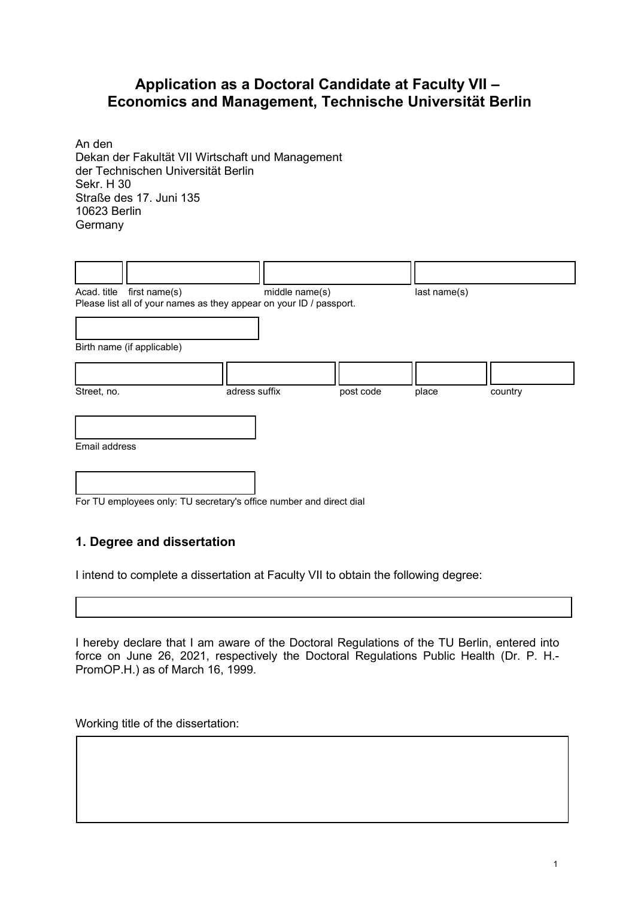# **Application as a Doctoral Candidate at Faculty VII – Economics and Management, Technische Universität Berlin**

An den Dekan der Fakultät VII Wirtschaft und Management der Technischen Universität Berlin Sekr. H 30 Straße des 17. Juni 135 10623 Berlin **Germany** 

|               | Acad. title first name(s)                                           |               | middle name(s) |           | last name(s) |         |
|---------------|---------------------------------------------------------------------|---------------|----------------|-----------|--------------|---------|
|               | Please list all of your names as they appear on your ID / passport. |               |                |           |              |         |
|               |                                                                     |               |                |           |              |         |
|               |                                                                     |               |                |           |              |         |
|               | Birth name (if applicable)                                          |               |                |           |              |         |
|               |                                                                     |               |                |           |              |         |
|               |                                                                     |               |                |           |              |         |
|               |                                                                     |               |                |           |              |         |
| Street, no.   |                                                                     | adress suffix |                | post code | place        | country |
|               |                                                                     |               |                |           |              |         |
|               |                                                                     |               |                |           |              |         |
|               |                                                                     |               |                |           |              |         |
| Email address |                                                                     |               |                |           |              |         |
|               |                                                                     |               |                |           |              |         |
|               |                                                                     |               |                |           |              |         |
|               |                                                                     |               |                |           |              |         |
|               |                                                                     |               |                |           |              |         |

For TU employees only: TU secretary's office number and direct dial

#### **1. Degree and dissertation**

I intend to complete a dissertation at Faculty VII to obtain the following degree:

I hereby declare that I am aware of the Doctoral Regulations of the TU Berlin, entered into force on June 26, 2021, respectively the Doctoral Regulations Public Health (Dr. P. H.- PromOP.H.) as of March 16, 1999.

Working title of the dissertation: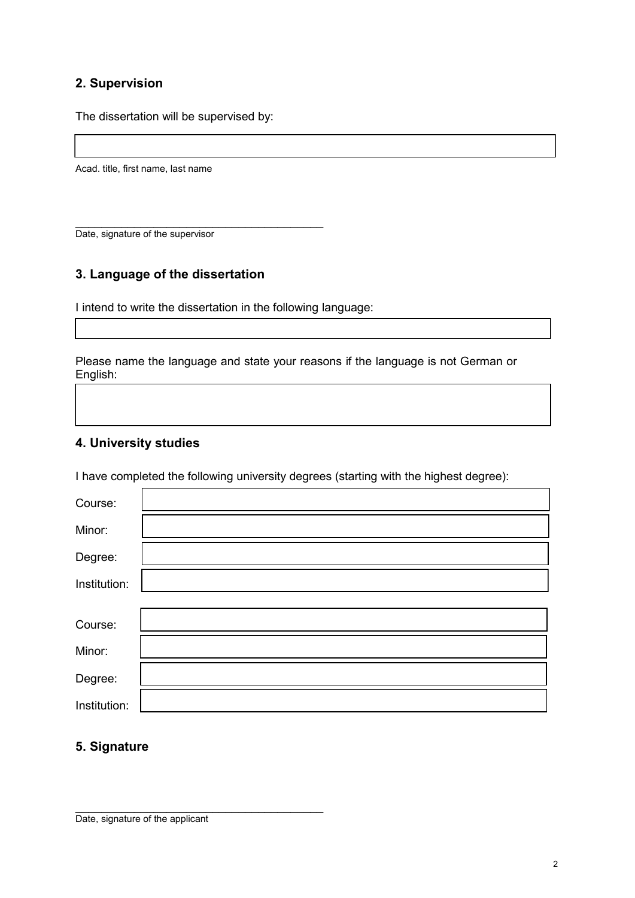## **2. Supervision**

The dissertation will be supervised by:

Acad. title, first name, last name

\_\_\_\_\_\_\_\_\_\_\_\_\_\_\_\_\_\_\_\_\_\_\_\_\_\_\_\_\_\_\_\_\_\_\_\_\_\_ Date, signature of the supervisor

#### **3. Language of the dissertation**

I intend to write the dissertation in the following language:

Please name the language and state your reasons if the language is not German or English:

#### **4. University studies**

I have completed the following university degrees (starting with the highest degree):

| Course:      |  |
|--------------|--|
| Minor:       |  |
| Degree:      |  |
| Institution: |  |
|              |  |
| Course:      |  |
| Minor:       |  |
| Degree:      |  |
| Institution: |  |

### **5. Signature**

\_\_\_\_\_\_\_\_\_\_\_\_\_\_\_\_\_\_\_\_\_\_\_\_\_\_\_\_\_\_\_\_\_\_\_\_\_\_ Date, signature of the applicant